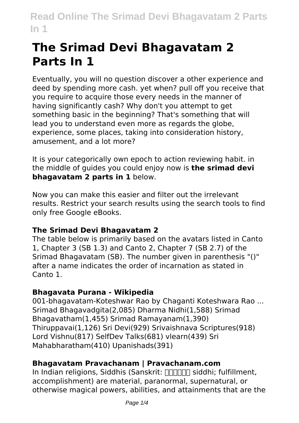# **The Srimad Devi Bhagavatam 2 Parts In 1**

Eventually, you will no question discover a other experience and deed by spending more cash. yet when? pull off you receive that you require to acquire those every needs in the manner of having significantly cash? Why don't you attempt to get something basic in the beginning? That's something that will lead you to understand even more as regards the globe, experience, some places, taking into consideration history, amusement, and a lot more?

It is your categorically own epoch to action reviewing habit. in the middle of guides you could enjoy now is **the srimad devi bhagavatam 2 parts in 1** below.

Now you can make this easier and filter out the irrelevant results. Restrict your search results using the search tools to find only free Google eBooks.

## **The Srimad Devi Bhagavatam 2**

The table below is primarily based on the avatars listed in Canto 1, Chapter 3 (SB 1.3) and Canto 2, Chapter 7 (SB 2.7) of the Srimad Bhagavatam (SB). The number given in parenthesis "()" after a name indicates the order of incarnation as stated in Canto 1.

# **Bhagavata Purana - Wikipedia**

001-bhagavatam-Koteshwar Rao by Chaganti Koteshwara Rao ... Srimad Bhagavadgita(2,085) Dharma Nidhi(1,588) Srimad Bhagavatham(1,455) Srimad Ramayanam(1,390) Thiruppavai(1,126) Sri Devi(929) Srivaishnava Scriptures(918) Lord Vishnu(817) SelfDev Talks(681) vlearn(439) Sri Mahabharatham(410) Upanishads(391)

# **Bhagavatam Pravachanam | Pravachanam.com**

In Indian religions, Siddhis (Sanskrit: FIFIFIFIC siddhi; fulfillment, accomplishment) are material, paranormal, supernatural, or otherwise magical powers, abilities, and attainments that are the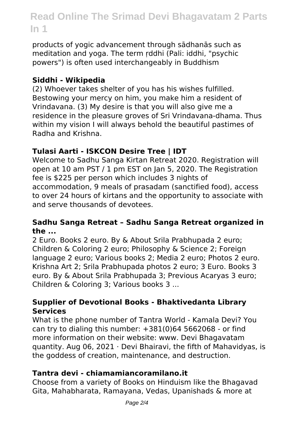products of yogic advancement through sādhanās such as meditation and yoga. The term ṛddhi (Pali: iddhi, "psychic powers") is often used interchangeably in Buddhism

#### **Siddhi - Wikipedia**

(2) Whoever takes shelter of you has his wishes fulfilled. Bestowing your mercy on him, you make him a resident of Vrindavana. (3) My desire is that you will also give me a residence in the pleasure groves of Sri Vrindavana-dhama. Thus within my vision I will always behold the beautiful pastimes of Radha and Krishna.

## **Tulasi Aarti - ISKCON Desire Tree | IDT**

Welcome to Sadhu Sanga Kirtan Retreat 2020. Registration will open at 10 am PST / 1 pm EST on Jan 5, 2020. The Registration fee is \$225 per person which includes 3 nights of accommodation, 9 meals of prasadam (sanctified food), access to over 24 hours of kirtans and the opportunity to associate with and serve thousands of devotees.

#### **Sadhu Sanga Retreat – Sadhu Sanga Retreat organized in the ...**

2 Euro. Books 2 euro. By & About Srila Prabhupada 2 euro; Children & Coloring 2 euro; Philosophy & Science 2; Foreign language 2 euro; Various books 2; Media 2 euro; Photos 2 euro. Krishna Art 2; Srila Prabhupada photos 2 euro; 3 Euro. Books 3 euro. By & About Srila Prabhupada 3; Previous Acaryas 3 euro; Children & Coloring 3; Various books 3 ...

## **Supplier of Devotional Books - Bhaktivedanta Library Services**

What is the phone number of Tantra World - Kamala Devi? You can try to dialing this number: +381(0)64 5662068 - or find more information on their website: www. Devi Bhagavatam quantity. Aug 06, 2021  $\cdot$  Devi Bhairavi, the fifth of Mahavidyas, is the goddess of creation, maintenance, and destruction.

## **Tantra devi - chiamamiancoramilano.it**

Choose from a variety of Books on Hinduism like the Bhagavad Gita, Mahabharata, Ramayana, Vedas, Upanishads & more at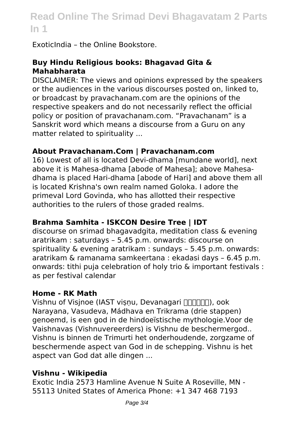ExoticIndia – the Online Bookstore.

#### **Buy Hindu Religious books: Bhagavad Gita & Mahabharata**

DISCLAIMER: The views and opinions expressed by the speakers or the audiences in the various discourses posted on, linked to, or broadcast by pravachanam.com are the opinions of the respective speakers and do not necessarily reflect the official policy or position of pravachanam.com. "Pravachanam" is a Sanskrit word which means a discourse from a Guru on any matter related to spirituality ...

#### **About Pravachanam.Com | Pravachanam.com**

16) Lowest of all is located Devi-dhama [mundane world], next above it is Mahesa-dhama [abode of Mahesa]; above Mahesadhama is placed Hari-dhama [abode of Hari] and above them all is located Krishna's own realm named Goloka. I adore the primeval Lord Govinda, who has allotted their respective authorities to the rulers of those graded realms.

## **Brahma Samhita - ISKCON Desire Tree | IDT**

discourse on srimad bhagavadgita, meditation class & evening aratrikam : saturdays – 5.45 p.m. onwards: discourse on spirituality & evening aratrikam : sundays – 5.45 p.m. onwards: aratrikam & ramanama samkeertana : ekadasi days – 6.45 p.m. onwards: tithi puja celebration of holy trio & important festivals : as per festival calendar

#### **Home - RK Math**

Vishnu of Visjnoe (IAST visnu, Devanagari **FIFINA)**, ook Narayana, Vasudeva, Mádhava en Trikrama (drie stappen) genoemd, is een god in de hindoeïstische mythologie.Voor de Vaishnavas (Vishnuvereerders) is Vishnu de beschermergod.. Vishnu is binnen de Trimurti het onderhoudende, zorgzame of beschermende aspect van God in de schepping. Vishnu is het aspect van God dat alle dingen ...

#### **Vishnu - Wikipedia**

Exotic India 2573 Hamline Avenue N Suite A Roseville, MN - 55113 United States of America Phone: +1 347 468 7193